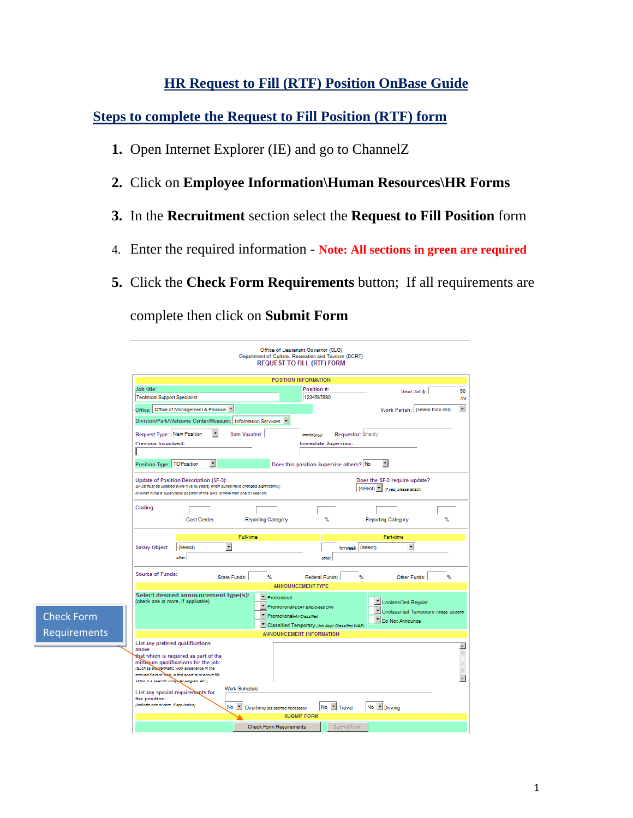### **HR Request to Fill (RTF) Position OnBase Guide**

**Steps to complete the Request to Fill Position (RTF) form** 

- **1.** Open Internet Explorer (IE) and go to ChannelZ
- **2.** Click on **Employee Information\Human Resources\HR Forms**
- **3.** In the **Recruitment** section select the **Request to Fill Position** form
- 4. Enter the required information **Note: All sections in green are required**
- **5.** Click the **Check Form Requirements** button; If all requirements are

complete then click on **Submit Form**

Check Form Requirements

|                                                                                                                                                                         |                    |                      |                    |                           | <b>POSITION INFORMATION</b>                                                         |                   |                                   |                                          |  |
|-------------------------------------------------------------------------------------------------------------------------------------------------------------------------|--------------------|----------------------|--------------------|---------------------------|-------------------------------------------------------------------------------------|-------------------|-----------------------------------|------------------------------------------|--|
| <b>Job title:</b>                                                                                                                                                       |                    |                      |                    |                           | Position #1                                                                         |                   |                                   | Uncl Sal \$:                             |  |
| <b>Technical Support Specialist</b>                                                                                                                                     |                    |                      |                    |                           | 1234567890                                                                          |                   |                                   |                                          |  |
| Office: Office of Management & Finance                                                                                                                                  |                    |                      |                    |                           |                                                                                     |                   |                                   | Work Parish: (select from list)          |  |
| Division/Park/Welcome Center/Museum:   Information Services   "                                                                                                         |                    |                      |                    |                           |                                                                                     |                   |                                   |                                          |  |
| Request Type: New Position                                                                                                                                              |                    | $\blacktriangledown$ | Date Vacated:      |                           | mm/dd/vyvvy                                                                         | Requestor: bhardy |                                   |                                          |  |
| <b>Previous Incumbent:</b>                                                                                                                                              |                    |                      |                    |                           | Immediate Supervisor:                                                               |                   |                                   |                                          |  |
|                                                                                                                                                                         |                    |                      |                    |                           |                                                                                     |                   |                                   |                                          |  |
| Position Type: TO Position                                                                                                                                              |                    | ٠                    |                    |                           | Does this position Supervise others? No                                             |                   | ۰ı                                |                                          |  |
| <b>Update of Position Description (SF-3):</b>                                                                                                                           |                    |                      |                    |                           |                                                                                     |                   | Does the SF-3 require update?     |                                          |  |
| SF-3s must be updated every five (6) years; when duties have changes significantly;<br>or when filing a supervisory position of the SF-3 is more than one (1) year old. |                    |                      |                    |                           |                                                                                     |                   | (select) v (tryes, please attach) |                                          |  |
|                                                                                                                                                                         |                    |                      |                    |                           |                                                                                     |                   |                                   |                                          |  |
| Coding:                                                                                                                                                                 |                    |                      |                    |                           |                                                                                     |                   |                                   |                                          |  |
|                                                                                                                                                                         | <b>Cost Center</b> |                      | Reporting Category |                           | %                                                                                   |                   | <b>Reporting Category</b>         | ℁                                        |  |
|                                                                                                                                                                         |                    |                      |                    |                           |                                                                                     |                   |                                   |                                          |  |
|                                                                                                                                                                         |                    |                      | Full-time          |                           |                                                                                     |                   | Part-time                         |                                          |  |
| <b>Salary Object:</b>                                                                                                                                                   | (select)           | ٠                    |                    |                           |                                                                                     | hr/week (select)  |                                   | $\bullet$                                |  |
|                                                                                                                                                                         | other:             |                      |                    |                           | <b>Officer</b>                                                                      |                   |                                   |                                          |  |
|                                                                                                                                                                         |                    |                      |                    |                           |                                                                                     |                   |                                   |                                          |  |
| <b>Source of Funds:</b>                                                                                                                                                 |                    | State Funds:         | 弘                  |                           | Federal Funds:                                                                      |                   | Y.                                | Other Funds:<br>弘                        |  |
|                                                                                                                                                                         |                    |                      |                    |                           | <b>ANNOUNCEMENT TYPE</b>                                                            |                   |                                   |                                          |  |
| Select desired announcement type(s):                                                                                                                                    |                    |                      |                    | * Probational             |                                                                                     |                   |                                   |                                          |  |
| (check one or more, if applicable)                                                                                                                                      |                    |                      |                    |                           | Promotional-DORT Employees Only                                                     |                   | Unclassified Regular              |                                          |  |
|                                                                                                                                                                         |                    |                      | ۰                  | Promotional-4/ Classified |                                                                                     |                   |                                   | V Unclassified Temporary (Wage, Student) |  |
|                                                                                                                                                                         |                    |                      |                    |                           |                                                                                     |                   | <sup>*</sup> Do Not Announce      |                                          |  |
|                                                                                                                                                                         |                    |                      |                    |                           | " Classified Temporary (Job Appt Classified WAE)<br><b>ANNOUNCEMENT INFORMATION</b> |                   |                                   |                                          |  |
|                                                                                                                                                                         |                    |                      |                    |                           |                                                                                     |                   |                                   |                                          |  |
| List any prefered qualifications<br>above                                                                                                                               |                    |                      |                    |                           |                                                                                     |                   |                                   |                                          |  |
|                                                                                                                                                                         |                    |                      |                    |                           |                                                                                     |                   |                                   |                                          |  |
| that which is required as part of the                                                                                                                                   |                    |                      |                    |                           |                                                                                     |                   |                                   |                                          |  |
| minimum qualifications for the job:                                                                                                                                     |                    |                      |                    |                           |                                                                                     |                   |                                   |                                          |  |
| (Such as pregrammatic work experience in the<br>relevant field of wage a test score at or above 50;                                                                     |                    |                      |                    |                           |                                                                                     |                   |                                   |                                          |  |
| skills in a specific computer program, etc.).                                                                                                                           |                    |                      |                    |                           |                                                                                     |                   |                                   |                                          |  |
|                                                                                                                                                                         |                    |                      | Work Schedule:     |                           |                                                                                     |                   |                                   |                                          |  |
| List any special requirements for<br>the position:                                                                                                                      |                    |                      |                    |                           |                                                                                     |                   |                                   |                                          |  |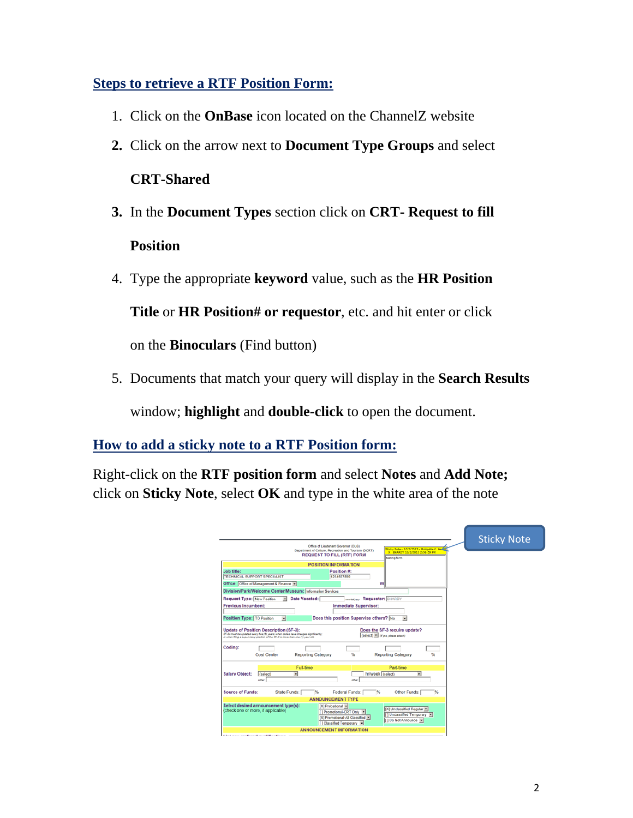### **Steps to retrieve a RTF Position Form:**

- 1. Click on the **OnBase** icon located on the ChannelZ website
- **2.** Click on the arrow next to **Document Type Groups** and select

#### **CRT-Shared**

- **3.** In the **Document Types** section click on **CRT- Request to fill Position**
- 4. Type the appropriate **keyword** value, such as the **HR Position**

**Title** or **HR Position# or requestor**, etc. and hit enter or click

on the **Binoculars** (Find button)

5. Documents that match your query will display in the **Search Results**

window; **highlight** and **double-click** to open the document.

### **How to add a sticky note to a RTF Position form:**

Right-click on the **RTF position form** and select **Notes** and **Add Note;**  click on **Sticky Note**, select **OK** and type in the white area of the note

|                                                                                                                                                                                                                                 | <b>Sticky Note</b> |
|---------------------------------------------------------------------------------------------------------------------------------------------------------------------------------------------------------------------------------|--------------------|
| Office of Lieutenant Governor (OLG)<br>Iticky Note - 10/2/2013 - Bridgette K. Had<br>Department of Culture, Recreation and Tourism (DCRT)<br>X BHARDY 10/2/2013 2:56:59 PM<br><b>REQUEST TO FILL (RTF) FORM</b><br>testing form |                    |
| POSITION INFORMATION                                                                                                                                                                                                            |                    |
| Position #:<br>Job title:<br><b>TECHNICAL SUPPORT SPECIALIST</b><br>1234567890                                                                                                                                                  |                    |
| Office: Office of Management & Finance                                                                                                                                                                                          |                    |
| Division/Park/Welcome Center/Museum: Information Services                                                                                                                                                                       |                    |
| <b>Request Type: New Position</b><br>Date Vacated:<br><b>mmussos</b> Requestor: BHARDY<br>$\left\vert \mathbf{w}\right\vert$                                                                                                    |                    |
| <b>Previous Incumbent:</b><br>Immediate Supervisor:                                                                                                                                                                             |                    |
|                                                                                                                                                                                                                                 |                    |
| Does this position Supervise others? No<br>Position Type: TO Position<br>$\overline{\phantom{0}}$<br>$\overline{\phantom{a}}$                                                                                                   |                    |
| (select) [8] (First, please attach)<br>or when filing a aupervisory position of the SF-3 is more than one (1) year old.                                                                                                         |                    |
| <b>Cost Center</b><br><b>Reporting Category</b><br>鲇<br><b>Reporting Category</b>                                                                                                                                               |                    |
| Coding:<br>Part.time<br>Full-time                                                                                                                                                                                               |                    |
| <b>Salary Object:</b><br>hr/week (select)<br>(select)<br>$\blacksquare$<br>۰<br>other<br>other                                                                                                                                  |                    |
| State Funds:<br><b>Source of Funds:</b><br>Federal Funds:  <br>196<br>Other Funds:<br>%                                                                                                                                         |                    |
| <b>ANNOUNCEMENT TYPE</b>                                                                                                                                                                                                        |                    |
| [X] Probational =<br>[X] Unclassified Regular<br>[] Promotional-CRT Only<br>[1] Unclassified Temporary [*]<br>[X] Promotional-All Classified ><br>[] Do Not Announce<br>[] Classified Temporary                                 |                    |
| Select desired announcement type(s):<br>(check one or more, if applicable)<br>ANNOUNCEMENT INFORMATION                                                                                                                          |                    |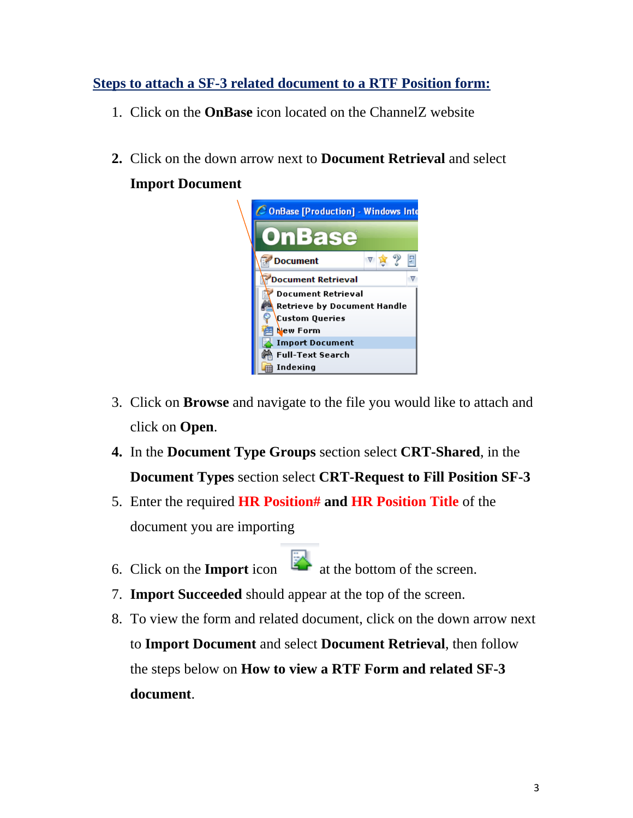# **Steps to attach a SF-3 related document to a RTF Position form:**

- 1. Click on the **OnBase** icon located on the ChannelZ website
- **2.** Click on the down arrow next to **Document Retrieval** and select

# **Import Document**



- 3. Click on **Browse** and navigate to the file you would like to attach and click on **Open**.
- **4.** In the **Document Type Groups** section select **CRT-Shared**, in the **Document Types** section select **CRT-Request to Fill Position SF-3**
- 5. Enter the required **HR Position# and HR Position Title** of the document you are importing
- 6. Click on the **Import** icon  $\frac{1}{2}$  at the bottom of the screen.
- 7. **Import Succeeded** should appear at the top of the screen.
- 8. To view the form and related document, click on the down arrow next to **Import Document** and select **Document Retrieval**, then follow the steps below on **How to view a RTF Form and related SF-3 document**.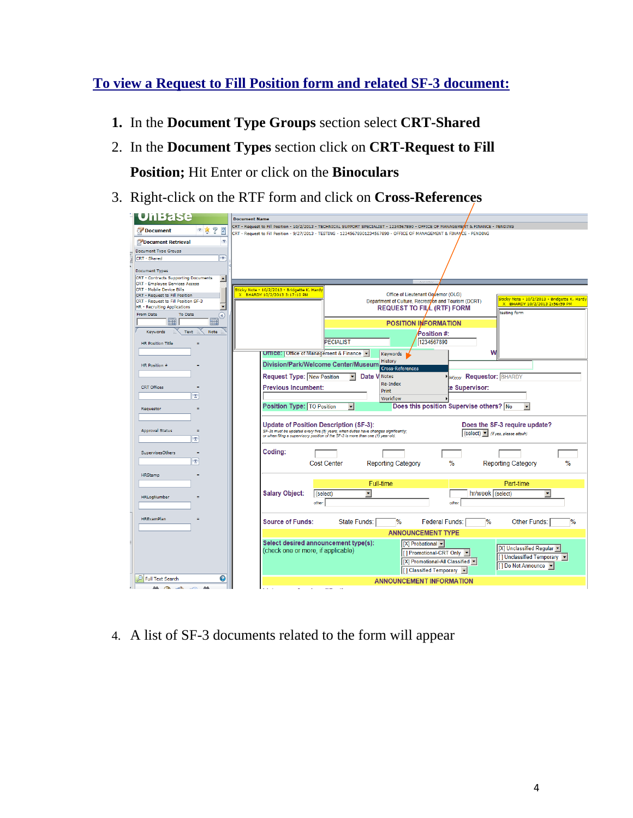# **To view a Request to Fill Position form and related SF-3 document:**

- **1.** In the **Document Type Groups** section select **CRT-Shared**
- 2. In the **Document Types** section click on **CRT-Request to Fill Position;** Hit Enter or click on the **Binoculars**
- 3. Right-click on the RTF form and click on **Cross-References**

| <b>UnBase</b>                                                                                 | <b>Document Name</b>                                                                                                                                                                                          |  |  |  |  |  |  |  |
|-----------------------------------------------------------------------------------------------|---------------------------------------------------------------------------------------------------------------------------------------------------------------------------------------------------------------|--|--|--|--|--|--|--|
|                                                                                               | CRT - Request to Fill Position - 10/2/2013 - TECHNICAL SUPPORT SPECIALIST - 1234567890 - OFFICE OF MANAGEMENT & FINANCE - PENDING                                                                             |  |  |  |  |  |  |  |
| ?<br>E<br>▽食<br>Document                                                                      | CRT - Request to Fill Position - 9/27/2013 - TESTING - 12345678901234567890 - OFFICE OF MANAGEMENT & FINANCE - PENDING                                                                                        |  |  |  |  |  |  |  |
| $\triangledown$<br>Document Retrieval                                                         |                                                                                                                                                                                                               |  |  |  |  |  |  |  |
| <b>Document Type Groups</b>                                                                   |                                                                                                                                                                                                               |  |  |  |  |  |  |  |
| $\overline{\mathbf{v}}$<br>CRT - Shared                                                       |                                                                                                                                                                                                               |  |  |  |  |  |  |  |
| <b>Document Types</b>                                                                         |                                                                                                                                                                                                               |  |  |  |  |  |  |  |
| CRT - Contracts Supporting Documents<br>$\blacktriangle$                                      |                                                                                                                                                                                                               |  |  |  |  |  |  |  |
| CRT - Employee Services Access                                                                |                                                                                                                                                                                                               |  |  |  |  |  |  |  |
| <b>CRT - Mobile Device Bills</b><br>CRT - Request to Fill Position                            | Sticky Note - 10/2/2013 - Bridgette K. Hardy<br>Office of Lieutenant Governor (OLG)<br>X BHARDY 10/2/2013 3:17:10 PM                                                                                          |  |  |  |  |  |  |  |
| CRT - Request to Fill Position SF-3                                                           | <mark>Sticky Note - 10/2/2013 - Bridgette K. Hard</mark> y<br>Department of Culture, Recreation and Tourism (DCRT)<br>X BHARDY 10/2/2013 2:56:59 PM                                                           |  |  |  |  |  |  |  |
| $\overline{\mathbf{v}}$<br><b>HR - Recruiting Applications</b><br><b>From Date</b><br>To Date | <b>REQUEST TO FILL (RTF) FORM</b><br>testing form                                                                                                                                                             |  |  |  |  |  |  |  |
| $\circledast$<br>■<br>⊞                                                                       | <b>POSITION IMFORMATION</b>                                                                                                                                                                                   |  |  |  |  |  |  |  |
| Keywords<br>Text<br>Note                                                                      |                                                                                                                                                                                                               |  |  |  |  |  |  |  |
|                                                                                               | Position #:                                                                                                                                                                                                   |  |  |  |  |  |  |  |
| <b>HR Position Title</b>                                                                      | <b>PECIALIST</b><br>1234567890                                                                                                                                                                                |  |  |  |  |  |  |  |
|                                                                                               | <b>UTTICE:   Office of Management &amp; Finance +</b><br>W<br>Keywords                                                                                                                                        |  |  |  |  |  |  |  |
| HR Position #                                                                                 | History<br>Division/Park/Welcome Center/Museum                                                                                                                                                                |  |  |  |  |  |  |  |
|                                                                                               | <b>Cross-References</b><br><b>Natyyy Requestor: BHARDY</b>                                                                                                                                                    |  |  |  |  |  |  |  |
|                                                                                               | <b>Request Type: New Position</b><br>Date V Notes<br>Re-Index                                                                                                                                                 |  |  |  |  |  |  |  |
| <b>CRT</b> Offices<br>۰                                                                       | <b>Previous Incumbent:</b><br>te Supervisor:<br>Print                                                                                                                                                         |  |  |  |  |  |  |  |
| $\overline{\mathbf{x}}$                                                                       | Workflow                                                                                                                                                                                                      |  |  |  |  |  |  |  |
| Requestor<br>Ξ                                                                                | Does this position Supervise others? No<br>Position Type: TO Position<br>$\left  \cdot \right $<br>$\blacktriangledown$                                                                                       |  |  |  |  |  |  |  |
|                                                                                               |                                                                                                                                                                                                               |  |  |  |  |  |  |  |
| <b>Approval Status</b><br>$=$                                                                 | Does the SF-3 require update?<br>Update of Position Description (SF-3):                                                                                                                                       |  |  |  |  |  |  |  |
| $\overline{\mathbf{v}}$                                                                       | SF-3s must be updated every five (5) years; when duties have changes significantly;<br>(select) v (if yes, please attach)<br>or when filing a supervisory position of the SF-3 is more than one (1) year old. |  |  |  |  |  |  |  |
|                                                                                               |                                                                                                                                                                                                               |  |  |  |  |  |  |  |
| SupervisesOthers<br>٠                                                                         | Coding:                                                                                                                                                                                                       |  |  |  |  |  |  |  |
| $\overline{\mathbf{x}}$                                                                       | $\frac{0}{0}$<br>%<br><b>Cost Center</b><br><b>Reporting Category</b><br><b>Reporting Category</b>                                                                                                            |  |  |  |  |  |  |  |
| <b>HRStamp</b>                                                                                |                                                                                                                                                                                                               |  |  |  |  |  |  |  |
|                                                                                               | Full-time<br>Part-time                                                                                                                                                                                        |  |  |  |  |  |  |  |
|                                                                                               | <b>Salary Object:</b><br>hr/week (select)<br>$\overline{\textbf{v}}$<br>(select)<br>۰                                                                                                                         |  |  |  |  |  |  |  |
| HRLogNumber                                                                                   | other.<br>other.                                                                                                                                                                                              |  |  |  |  |  |  |  |
|                                                                                               |                                                                                                                                                                                                               |  |  |  |  |  |  |  |
| <b>HRExamPlan</b>                                                                             | <b>Source of Funds:</b><br>State Funds:<br>$\%$<br><b>Federal Funds:</b><br>$\%$<br>Other Funds:<br>$\%$                                                                                                      |  |  |  |  |  |  |  |
|                                                                                               |                                                                                                                                                                                                               |  |  |  |  |  |  |  |
|                                                                                               | <b>ANNOUNCEMENT TYPE</b>                                                                                                                                                                                      |  |  |  |  |  |  |  |
|                                                                                               | Select desired announcement type(s):<br>$[X]$ Probational $\blacktriangleright$<br>  [X] Unclassified Regular                                                                                                 |  |  |  |  |  |  |  |
|                                                                                               | (check one or more, if applicable)<br>    Promotional-CRT Only ▼<br>[] Unclassified Temporary ▼                                                                                                               |  |  |  |  |  |  |  |
|                                                                                               | [X] Promotional-All Classified v<br>    Do Not Announce ▼                                                                                                                                                     |  |  |  |  |  |  |  |
|                                                                                               | [ ] Classified Temporary ▼                                                                                                                                                                                    |  |  |  |  |  |  |  |
| 0<br><b>Full Text Search</b>                                                                  | <b>ANNOUNCEMENT INFORMATION</b>                                                                                                                                                                               |  |  |  |  |  |  |  |
| AA<br>$\sqrt{12}$<br>$\sim$ Res<br>AA                                                         |                                                                                                                                                                                                               |  |  |  |  |  |  |  |

4. A list of SF-3 documents related to the form will appear